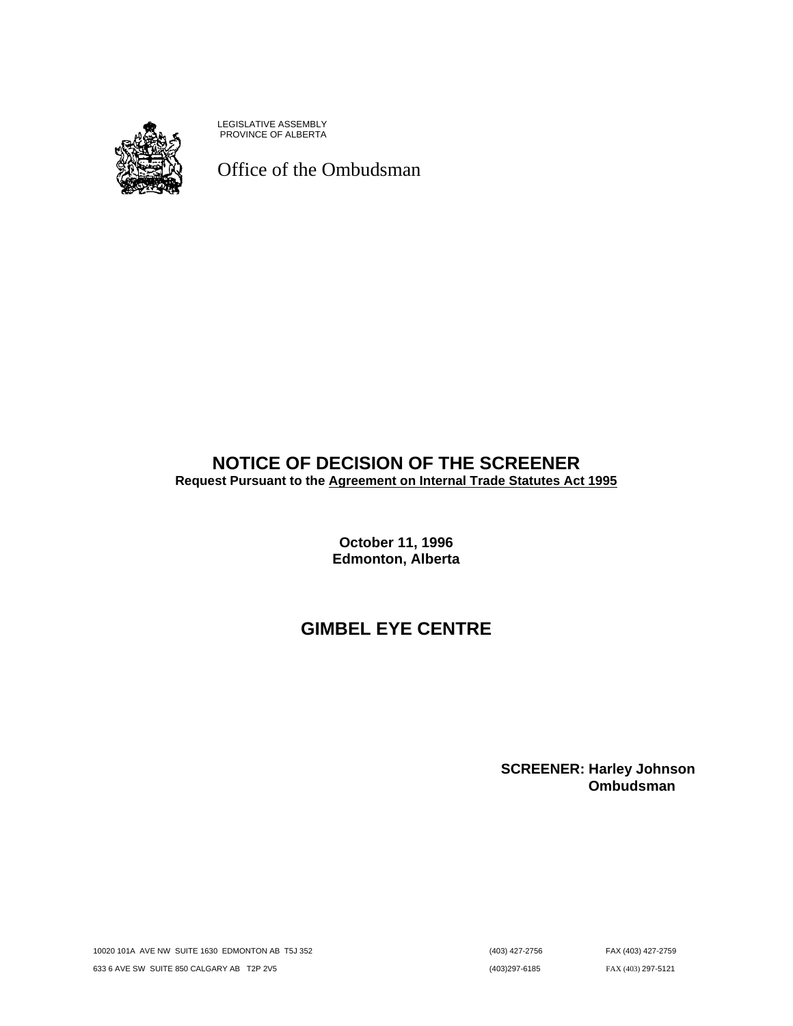

LEGISLATIVE ASSEMBLY PROVINCE OF ALBERTA

Office of the Ombudsman

# **NOTICE OF DECISION OF THE SCREENER**

**Request Pursuant to the Agreement on Internal Trade Statutes Act 1995**

**October 11, 1996 Edmonton, Alberta**

# **GIMBEL EYE CENTRE**

**SCREENER: Harley Johnson Ombudsman**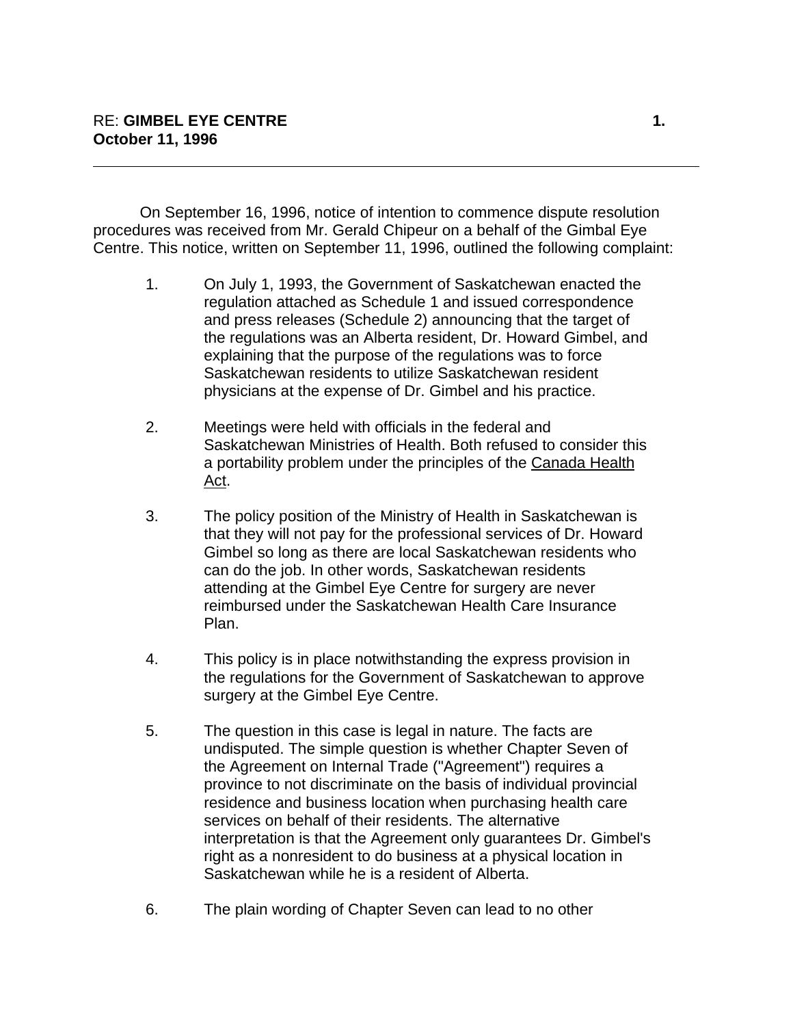On September 16, 1996, notice of intention to commence dispute resolution procedures was received from Mr. Gerald Chipeur on a behalf of the Gimbal Eye Centre. This notice, written on September 11, 1996, outlined the following complaint:

- 1. On July 1, 1993, the Government of Saskatchewan enacted the regulation attached as Schedule 1 and issued correspondence and press releases (Schedule 2) announcing that the target of the regulations was an Alberta resident, Dr. Howard Gimbel, and explaining that the purpose of the regulations was to force Saskatchewan residents to utilize Saskatchewan resident physicians at the expense of Dr. Gimbel and his practice.
- 2. Meetings were held with officials in the federal and Saskatchewan Ministries of Health. Both refused to consider this a portability problem under the principles of the Canada Health Act.
- 3. The policy position of the Ministry of Health in Saskatchewan is that they will not pay for the professional services of Dr. Howard Gimbel so long as there are local Saskatchewan residents who can do the job. In other words, Saskatchewan residents attending at the Gimbel Eye Centre for surgery are never reimbursed under the Saskatchewan Health Care Insurance Plan.
- 4. This policy is in place notwithstanding the express provision in the regulations for the Government of Saskatchewan to approve surgery at the Gimbel Eye Centre.
- 5. The question in this case is legal in nature. The facts are undisputed. The simple question is whether Chapter Seven of the Agreement on Internal Trade ("Agreement") requires a province to not discriminate on the basis of individual provincial residence and business location when purchasing health care services on behalf of their residents. The alternative interpretation is that the Agreement only guarantees Dr. Gimbel's right as a nonresident to do business at a physical location in Saskatchewan while he is a resident of Alberta.
- 6. The plain wording of Chapter Seven can lead to no other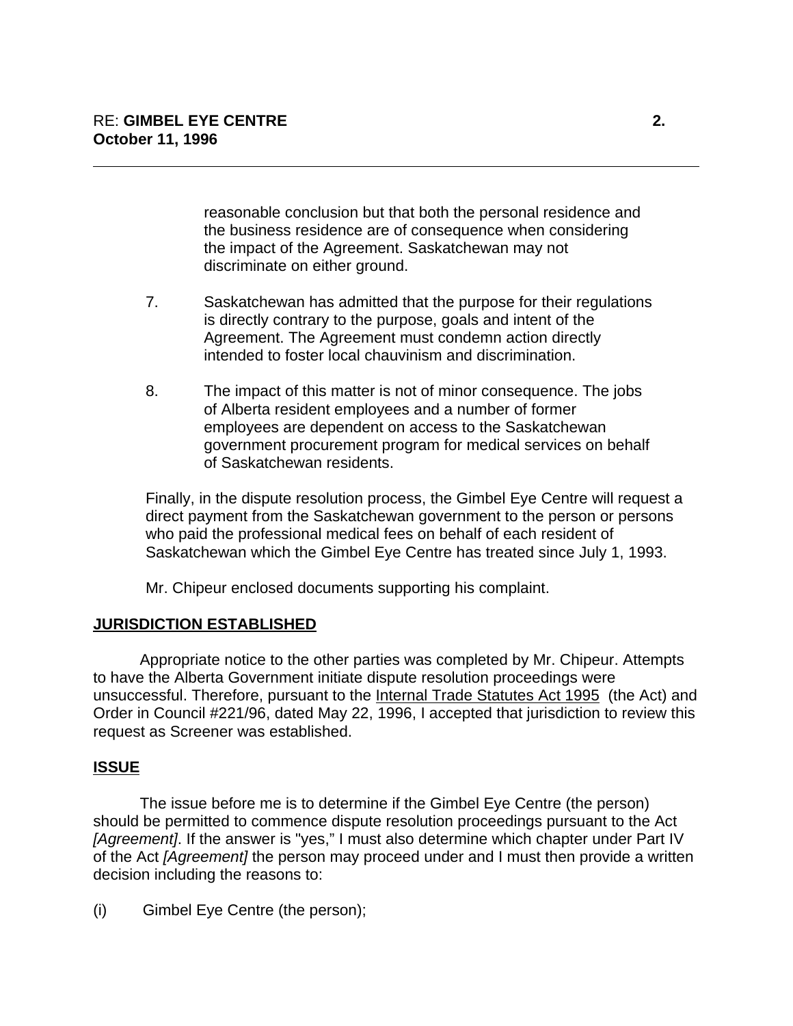reasonable conclusion but that both the personal residence and the business residence are of consequence when considering the impact of the Agreement. Saskatchewan may not discriminate on either ground.

- 7. Saskatchewan has admitted that the purpose for their regulations is directly contrary to the purpose, goals and intent of the Agreement. The Agreement must condemn action directly intended to foster local chauvinism and discrimination.
- 8. The impact of this matter is not of minor consequence. The jobs of Alberta resident employees and a number of former employees are dependent on access to the Saskatchewan government procurement program for medical services on behalf of Saskatchewan residents.

Finally, in the dispute resolution process, the Gimbel Eye Centre will request a direct payment from the Saskatchewan government to the person or persons who paid the professional medical fees on behalf of each resident of Saskatchewan which the Gimbel Eye Centre has treated since July 1, 1993.

Mr. Chipeur enclosed documents supporting his complaint.

# **JURISDICTION ESTABLISHED**

Appropriate notice to the other parties was completed by Mr. Chipeur. Attempts to have the Alberta Government initiate dispute resolution proceedings were unsuccessful. Therefore, pursuant to the Internal Trade Statutes Act 1995 (the Act) and Order in Council #221/96, dated May 22, 1996, I accepted that jurisdiction to review this request as Screener was established.

# **ISSUE**

The issue before me is to determine if the Gimbel Eye Centre (the person) should be permitted to commence dispute resolution proceedings pursuant to the Act *[Agreement]*. If the answer is "yes," I must also determine which chapter under Part IV of the Act *[Agreement]* the person may proceed under and I must then provide a written decision including the reasons to:

(i) Gimbel Eye Centre (the person);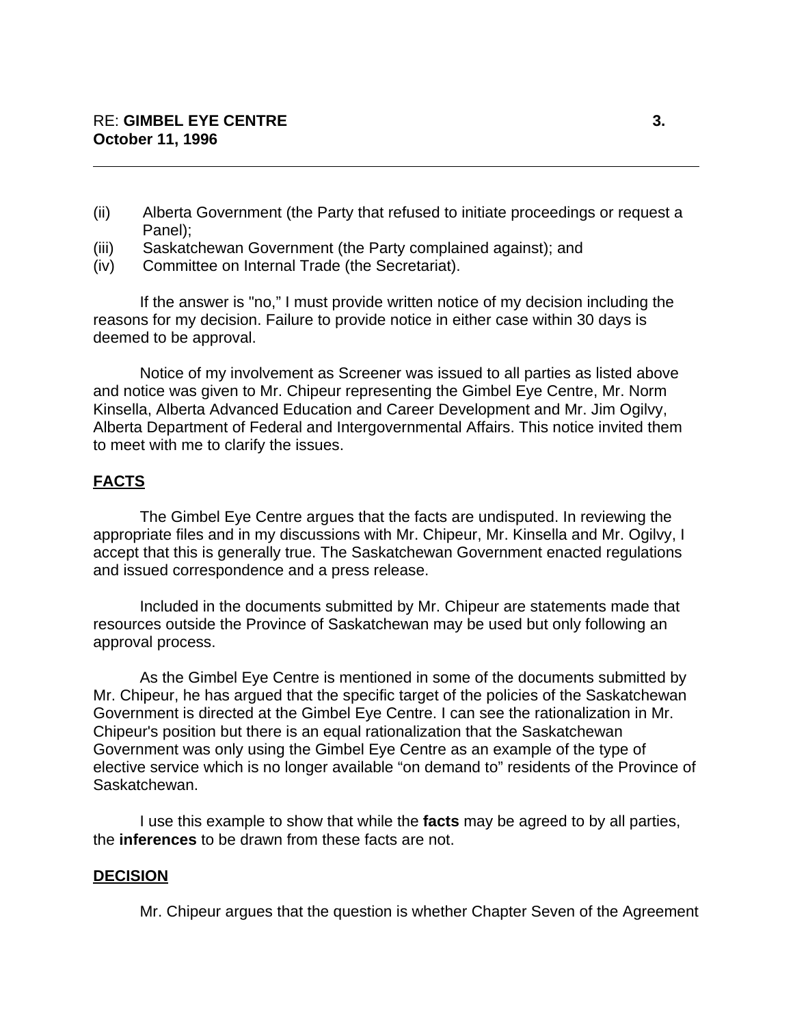- (ii) Alberta Government (the Party that refused to initiate proceedings or request a Panel);
- (iii) Saskatchewan Government (the Party complained against); and
- (iv) Committee on Internal Trade (the Secretariat).

If the answer is "no," I must provide written notice of my decision including the reasons for my decision. Failure to provide notice in either case within 30 days is deemed to be approval.

Notice of my involvement as Screener was issued to all parties as listed above and notice was given to Mr. Chipeur representing the Gimbel Eye Centre, Mr. Norm Kinsella, Alberta Advanced Education and Career Development and Mr. Jim Ogilvy, Alberta Department of Federal and Intergovernmental Affairs. This notice invited them to meet with me to clarify the issues.

### **FACTS**

The Gimbel Eye Centre argues that the facts are undisputed. In reviewing the appropriate files and in my discussions with Mr. Chipeur, Mr. Kinsella and Mr. Ogilvy, I accept that this is generally true. The Saskatchewan Government enacted regulations and issued correspondence and a press release.

Included in the documents submitted by Mr. Chipeur are statements made that resources outside the Province of Saskatchewan may be used but only following an approval process.

As the Gimbel Eye Centre is mentioned in some of the documents submitted by Mr. Chipeur, he has argued that the specific target of the policies of the Saskatchewan Government is directed at the Gimbel Eye Centre. I can see the rationalization in Mr. Chipeur's position but there is an equal rationalization that the Saskatchewan Government was only using the Gimbel Eye Centre as an example of the type of elective service which is no longer available "on demand to" residents of the Province of Saskatchewan.

I use this example to show that while the **facts** may be agreed to by all parties, the **inferences** to be drawn from these facts are not.

#### **DECISION**

Mr. Chipeur argues that the question is whether Chapter Seven of the Agreement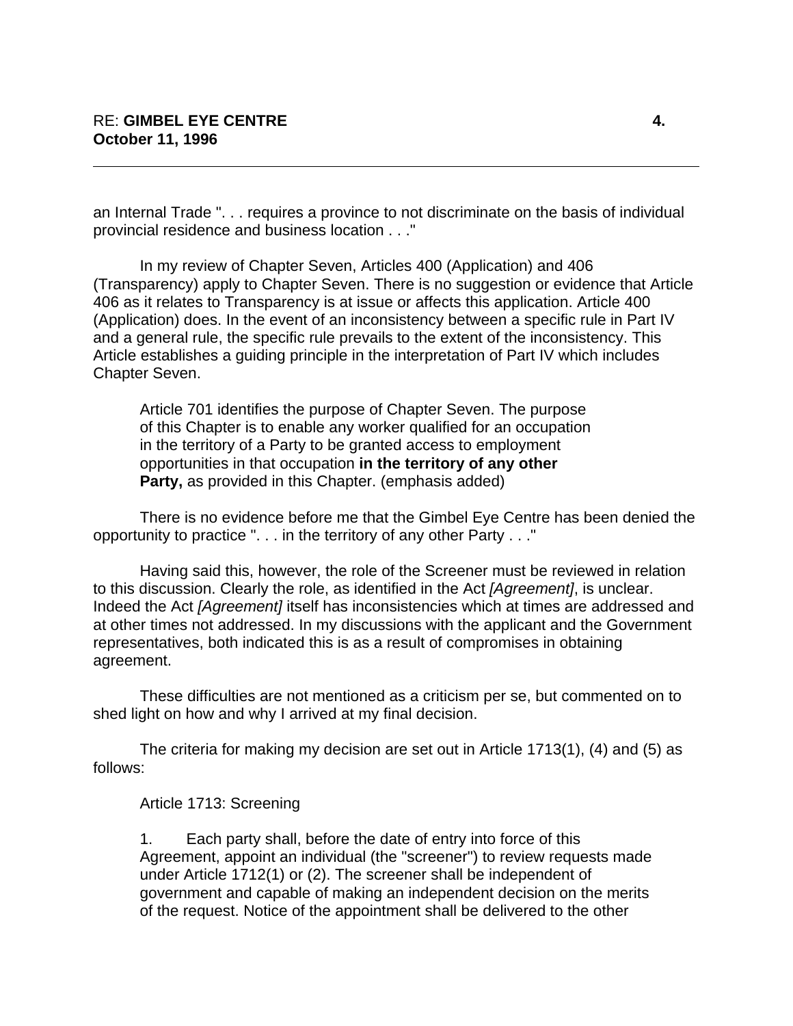an Internal Trade ". . . requires a province to not discriminate on the basis of individual provincial residence and business location . . ."

In my review of Chapter Seven, Articles 400 (Application) and 406 (Transparency) apply to Chapter Seven. There is no suggestion or evidence that Article 406 as it relates to Transparency is at issue or affects this application. Article 400 (Application) does. In the event of an inconsistency between a specific rule in Part IV and a general rule, the specific rule prevails to the extent of the inconsistency. This Article establishes a guiding principle in the interpretation of Part IV which includes Chapter Seven.

Article 701 identifies the purpose of Chapter Seven. The purpose of this Chapter is to enable any worker qualified for an occupation in the territory of a Party to be granted access to employment opportunities in that occupation **in the territory of any other Party,** as provided in this Chapter. (emphasis added)

There is no evidence before me that the Gimbel Eye Centre has been denied the opportunity to practice ". . . in the territory of any other Party . . ."

Having said this, however, the role of the Screener must be reviewed in relation to this discussion. Clearly the role, as identified in the Act *[Agreement]*, is unclear. Indeed the Act *[Agreement]* itself has inconsistencies which at times are addressed and at other times not addressed. In my discussions with the applicant and the Government representatives, both indicated this is as a result of compromises in obtaining agreement.

These difficulties are not mentioned as a criticism per se, but commented on to shed light on how and why I arrived at my final decision.

The criteria for making my decision are set out in Article 1713(1), (4) and (5) as follows:

#### Article 1713: Screening

1. Each party shall, before the date of entry into force of this Agreement, appoint an individual (the "screener") to review requests made under Article 1712(1) or (2). The screener shall be independent of government and capable of making an independent decision on the merits of the request. Notice of the appointment shall be delivered to the other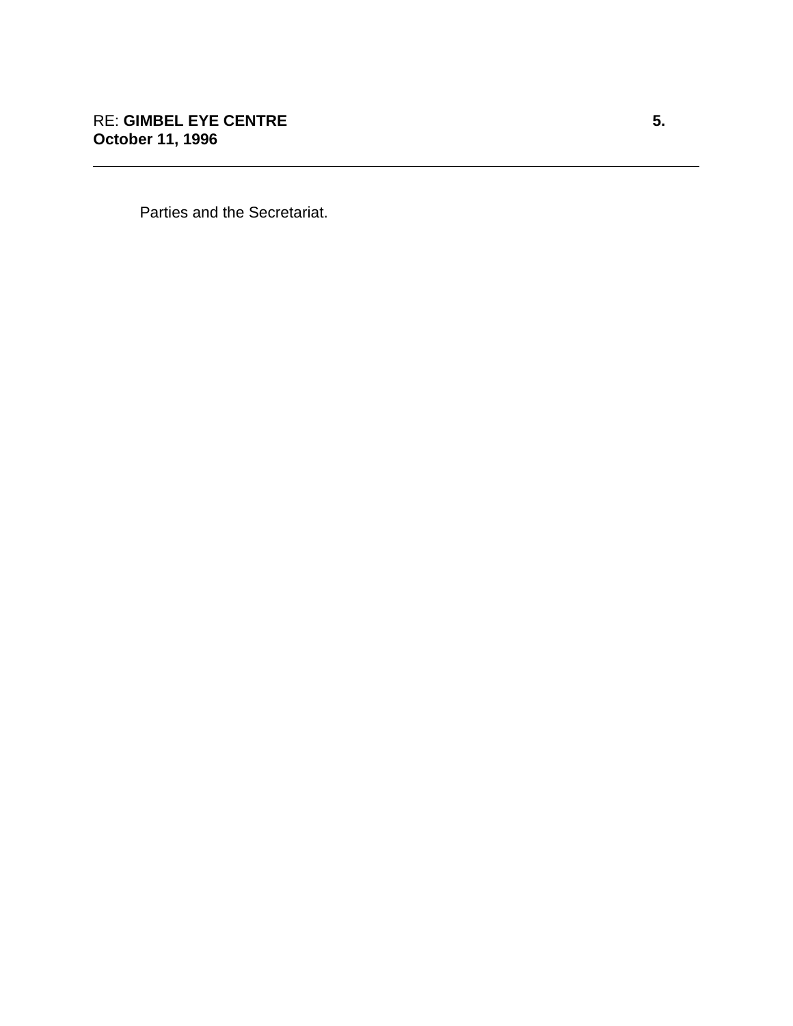Parties and the Secretariat.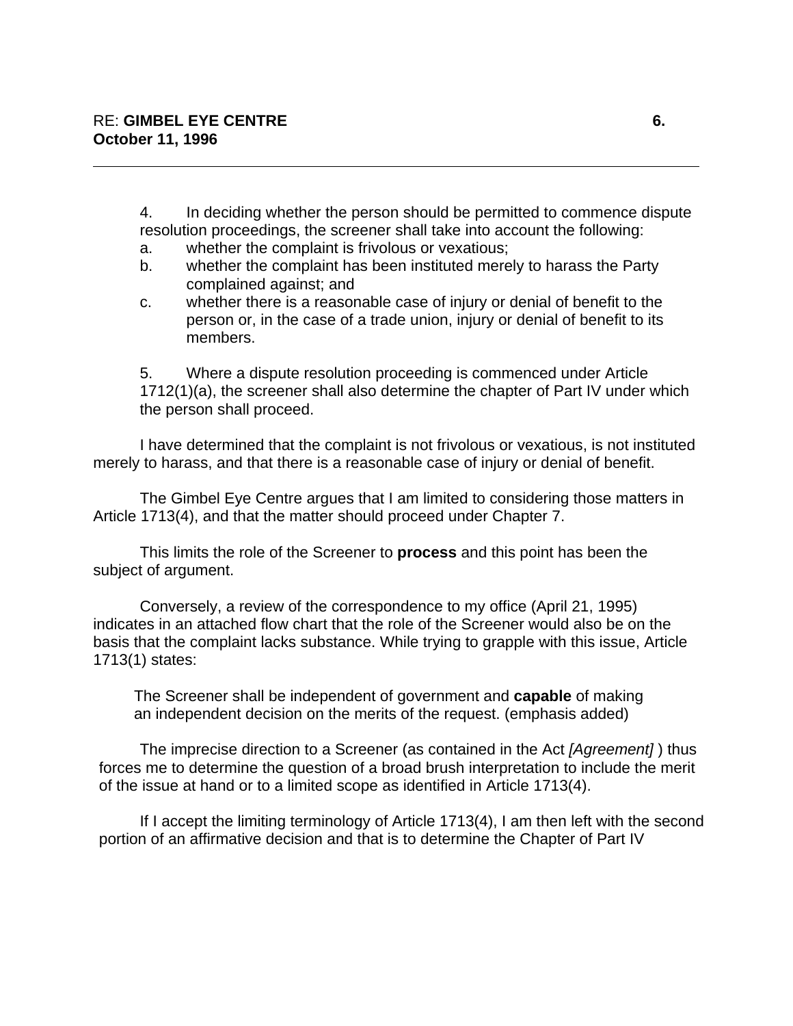4. In deciding whether the person should be permitted to commence dispute resolution proceedings, the screener shall take into account the following:

- a. whether the complaint is frivolous or vexatious;
- b. whether the complaint has been instituted merely to harass the Party complained against; and
- c. whether there is a reasonable case of injury or denial of benefit to the person or, in the case of a trade union, injury or denial of benefit to its members.

5. Where a dispute resolution proceeding is commenced under Article 1712(1)(a), the screener shall also determine the chapter of Part IV under which the person shall proceed.

I have determined that the complaint is not frivolous or vexatious, is not instituted merely to harass, and that there is a reasonable case of injury or denial of benefit.

The Gimbel Eye Centre argues that I am limited to considering those matters in Article 1713(4), and that the matter should proceed under Chapter 7.

This limits the role of the Screener to **process** and this point has been the subject of argument.

Conversely, a review of the correspondence to my office (April 21, 1995) indicates in an attached flow chart that the role of the Screener would also be on the basis that the complaint lacks substance. While trying to grapple with this issue, Article 1713(1) states:

The Screener shall be independent of government and **capable** of making an independent decision on the merits of the request. (emphasis added)

The imprecise direction to a Screener (as contained in the Act *[Agreement]* ) thus forces me to determine the question of a broad brush interpretation to include the merit of the issue at hand or to a limited scope as identified in Article 1713(4).

If I accept the limiting terminology of Article 1713(4), I am then left with the second portion of an affirmative decision and that is to determine the Chapter of Part IV